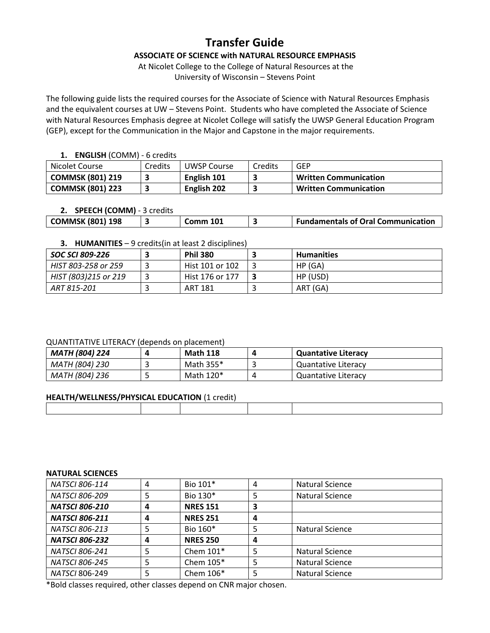# **Transfer Guide**

**ASSOCIATE OF SCIENCE with NATURAL RESOURCE EMPHASIS**

At Nicolet College to the College of Natural Resources at the University of Wisconsin – Stevens Point

The following guide lists the required courses for the Associate of Science with Natural Resources Emphasis and the equivalent courses at UW – Stevens Point. Students who have completed the Associate of Science with Natural Resources Emphasis degree at Nicolet College will satisfy the UWSP General Education Program (GEP), except for the Communication in the Major and Capstone in the major requirements.

## **1. ENGLISH** (COMM) - 6 credits

| Nicolet Course          | Credits | UWSP Course | Credits | <b>GEP</b>                   |
|-------------------------|---------|-------------|---------|------------------------------|
| <b>COMMSK (801) 219</b> |         | English 101 |         | <b>Written Communication</b> |
| <b>COMMSK (801) 223</b> |         | English 202 |         | <b>Written Communication</b> |

# **2. SPEECH (COMM)** - 3 credits

| <b>COMMSK (801) 198</b> | Comm 101 | <b>Fundamentals of Oral Communication</b> |
|-------------------------|----------|-------------------------------------------|
|                         |          |                                           |

# **3. HUMANITIES** – 9 credits(in at least 2 disciplines)

| SOC SCI 809-226      | <b>Phil 380</b> | <b>Humanities</b> |
|----------------------|-----------------|-------------------|
| HIST 803-258 or 259  | Hist 101 or 102 | HP(GA)            |
| HIST (803)215 or 219 | Hist 176 or 177 | HP (USD)          |
| ART 815-201          | ART 181         | ART (GA)          |

## QUANTITATIVE LITERACY (depends on placement)

| <b>MATH (804) 224</b> | <b>Math 118</b> | <b>Quantative Literacy</b> |
|-----------------------|-----------------|----------------------------|
| MATH (804) 230        | Math 355*       | <b>Quantative Literacy</b> |
| MATH (804) 236        | Math 120*       | Quantative Literacy        |

## **HEALTH/WELLNESS/PHYSICAL EDUCATION** (1 credit)

#### **NATURAL SCIENCES**

| <b>NATSCI 806-114</b> | 4 | Bio 101*        | 4 | Natural Science        |
|-----------------------|---|-----------------|---|------------------------|
| <b>NATSCI 806-209</b> |   | Bio 130*        | 5 | Natural Science        |
| <b>NATSCI 806-210</b> | 4 | <b>NRES 151</b> | 3 |                        |
| <b>NATSCI 806-211</b> | 4 | <b>NRES 251</b> | 4 |                        |
| <b>NATSCI 806-213</b> |   | Bio 160*        | 5 | Natural Science        |
| <b>NATSCI 806-232</b> |   | <b>NRES 250</b> | 4 |                        |
| <b>NATSCI 806-241</b> |   | Chem $101*$     | 5 | Natural Science        |
| <b>NATSCI 806-245</b> |   | Chem $105*$     | 5 | <b>Natural Science</b> |
| NATSCI 806-249        | 5 | Chem 106*       | 5 | Natural Science        |
|                       |   |                 |   |                        |

\*Bold classes required, other classes depend on CNR major chosen.